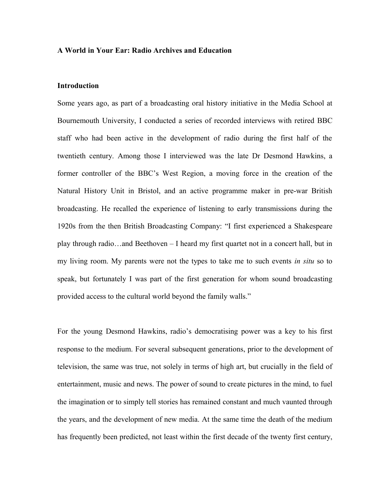### **A World in Your Ear: Radio Archives and Education**

# **Introduction**

Some years ago, as part of a broadcasting oral history initiative in the Media School at Bournemouth University, I conducted a series of recorded interviews with retired BBC staff who had been active in the development of radio during the first half of the twentieth century. Among those I interviewed was the late Dr Desmond Hawkins, a former controller of the BBC's West Region, a moving force in the creation of the Natural History Unit in Bristol, and an active programme maker in pre-war British broadcasting. He recalled the experience of listening to early transmissions during the 1920s from the then British Broadcasting Company: "I first experienced a Shakespeare play through radio…and Beethoven – I heard my first quartet not in a concert hall, but in my living room. My parents were not the types to take me to such events *in situ* so to speak, but fortunately I was part of the first generation for whom sound broadcasting provided access to the cultural world beyond the family walls."

For the young Desmond Hawkins, radio's democratising power was a key to his first response to the medium. For several subsequent generations, prior to the development of television, the same was true, not solely in terms of high art, but crucially in the field of entertainment, music and news. The power of sound to create pictures in the mind, to fuel the imagination or to simply tell stories has remained constant and much vaunted through the years, and the development of new media. At the same time the death of the medium has frequently been predicted, not least within the first decade of the twenty first century,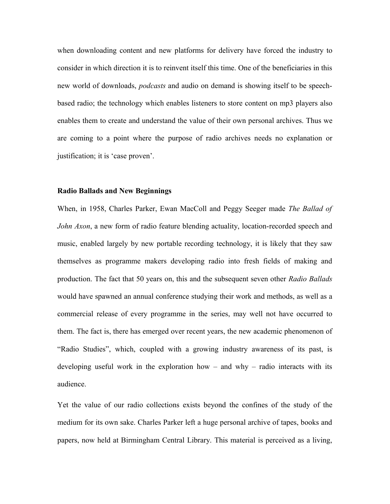when downloading content and new platforms for delivery have forced the industry to consider in which direction it is to reinvent itself this time. One of the beneficiaries in this new world of downloads, *podcasts* and audio on demand is showing itself to be speechbased radio; the technology which enables listeners to store content on mp3 players also enables them to create and understand the value of their own personal archives. Thus we are coming to a point where the purpose of radio archives needs no explanation or justification; it is 'case proven'.

# **Radio Ballads and New Beginnings**

When, in 1958, Charles Parker, Ewan MacColl and Peggy Seeger made *The Ballad of John Axon*, a new form of radio feature blending actuality, location-recorded speech and music, enabled largely by new portable recording technology, it is likely that they saw themselves as programme makers developing radio into fresh fields of making and production. The fact that 50 years on, this and the subsequent seven other *Radio Ballads* would have spawned an annual conference studying their work and methods, as well as a commercial release of every programme in the series, may well not have occurred to them. The fact is, there has emerged over recent years, the new academic phenomenon of "Radio Studies", which, coupled with a growing industry awareness of its past, is developing useful work in the exploration how – and why – radio interacts with its audience.

Yet the value of our radio collections exists beyond the confines of the study of the medium for its own sake. Charles Parker left a huge personal archive of tapes, books and papers, now held at Birmingham Central Library. This material is perceived as a living,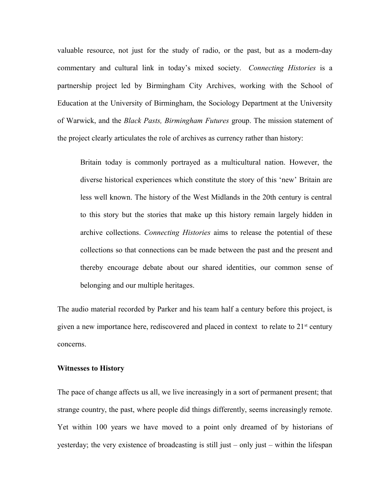valuable resource, not just for the study of radio, or the past, but as a modern-day commentary and cultural link in today's mixed society. *Connecting Histories* is a partnership project led by Birmingham City Archives, working with the School of Education at the University of Birmingham, the Sociology Department at the University of Warwick, and the *Black Pasts, Birmingham Futures* group. The mission statement of the project clearly articulates the role of archives as currency rather than history:

Britain today is commonly portrayed as a multicultural nation. However, the diverse historical experiences which constitute the story of this 'new' Britain are less well known. The history of the West Midlands in the 20th century is central to this story but the stories that make up this history remain largely hidden in archive collections. *Connecting Histories* aims to release the potential of these collections so that connections can be made between the past and the present and thereby encourage debate about our shared identities, our common sense of belonging and our multiple heritages.

The audio material recorded by Parker and his team half a century before this project, is given a new importance here, rediscovered and placed in context to relate to  $21<sup>st</sup>$  century concerns.

#### **Witnesses to History**

The pace of change affects us all, we live increasingly in a sort of permanent present; that strange country, the past, where people did things differently, seems increasingly remote. Yet within 100 years we have moved to a point only dreamed of by historians of yesterday; the very existence of broadcasting is still just – only just – within the lifespan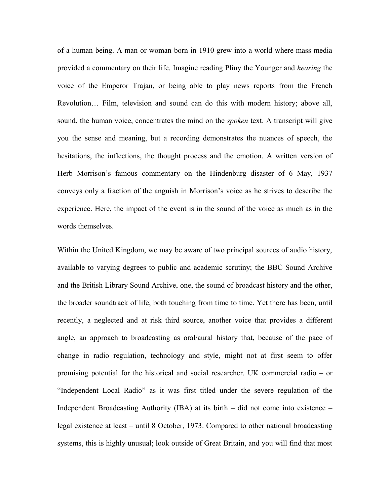of a human being. A man or woman born in 1910 grew into a world where mass media provided a commentary on their life. Imagine reading Pliny the Younger and *hearing* the voice of the Emperor Trajan, or being able to play news reports from the French Revolution… Film, television and sound can do this with modern history; above all, sound, the human voice, concentrates the mind on the *spoken* text. A transcript will give you the sense and meaning, but a recording demonstrates the nuances of speech, the hesitations, the inflections, the thought process and the emotion. A written version of Herb Morrison's famous commentary on the Hindenburg disaster of 6 May, 1937 conveys only a fraction of the anguish in Morrison's voice as he strives to describe the experience. Here, the impact of the event is in the sound of the voice as much as in the words themselves.

Within the United Kingdom, we may be aware of two principal sources of audio history, available to varying degrees to public and academic scrutiny; the BBC Sound Archive and the British Library Sound Archive, one, the sound of broadcast history and the other, the broader soundtrack of life, both touching from time to time. Yet there has been, until recently, a neglected and at risk third source, another voice that provides a different angle, an approach to broadcasting as oral/aural history that, because of the pace of change in radio regulation, technology and style, might not at first seem to offer promising potential for the historical and social researcher. UK commercial radio – or "Independent Local Radio" as it was first titled under the severe regulation of the Independent Broadcasting Authority (IBA) at its birth – did not come into existence – legal existence at least – until 8 October, 1973. Compared to other national broadcasting systems, this is highly unusual; look outside of Great Britain, and you will find that most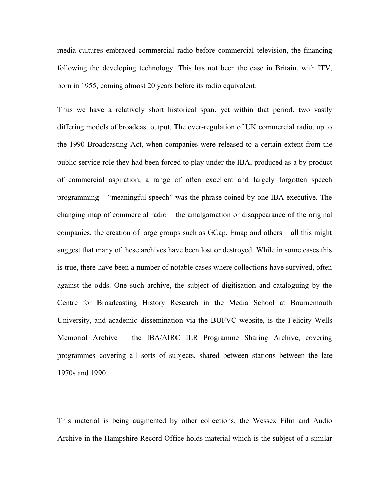media cultures embraced commercial radio before commercial television, the financing following the developing technology. This has not been the case in Britain, with ITV, born in 1955, coming almost 20 years before its radio equivalent.

Thus we have a relatively short historical span, yet within that period, two vastly differing models of broadcast output. The over-regulation of UK commercial radio, up to the 1990 Broadcasting Act, when companies were released to a certain extent from the public service role they had been forced to play under the IBA, produced as a by-product of commercial aspiration, a range of often excellent and largely forgotten speech programming – "meaningful speech" was the phrase coined by one IBA executive. The changing map of commercial radio – the amalgamation or disappearance of the original companies, the creation of large groups such as GCap, Emap and others – all this might suggest that many of these archives have been lost or destroyed. While in some cases this is true, there have been a number of notable cases where collections have survived, often against the odds. One such archive, the subject of digitisation and cataloguing by the Centre for Broadcasting History Research in the Media School at Bournemouth University, and academic dissemination via the BUFVC website, is the Felicity Wells Memorial Archive – the IBA/AIRC ILR Programme Sharing Archive, covering programmes covering all sorts of subjects, shared between stations between the late 1970s and 1990.

This material is being augmented by other collections; the Wessex Film and Audio Archive in the Hampshire Record Office holds material which is the subject of a similar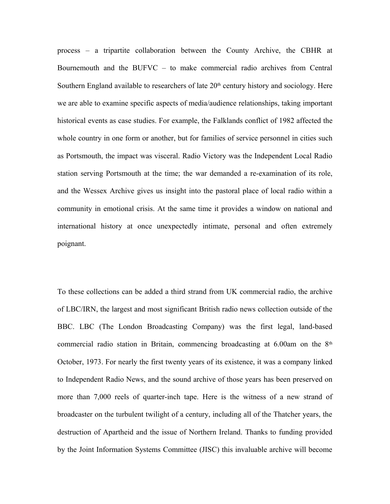process – a tripartite collaboration between the County Archive, the CBHR at Bournemouth and the BUFVC – to make commercial radio archives from Central Southern England available to researchers of late 20<sup>th</sup> century history and sociology. Here we are able to examine specific aspects of media/audience relationships, taking important historical events as case studies. For example, the Falklands conflict of 1982 affected the whole country in one form or another, but for families of service personnel in cities such as Portsmouth, the impact was visceral. Radio Victory was the Independent Local Radio station serving Portsmouth at the time; the war demanded a re-examination of its role, and the Wessex Archive gives us insight into the pastoral place of local radio within a community in emotional crisis. At the same time it provides a window on national and international history at once unexpectedly intimate, personal and often extremely poignant.

To these collections can be added a third strand from UK commercial radio, the archive of LBC/IRN, the largest and most significant British radio news collection outside of the BBC. LBC (The London Broadcasting Company) was the first legal, land-based commercial radio station in Britain, commencing broadcasting at  $6.00$ am on the  $8<sup>th</sup>$ October, 1973. For nearly the first twenty years of its existence, it was a company linked to Independent Radio News, and the sound archive of those years has been preserved on more than 7,000 reels of quarter-inch tape. Here is the witness of a new strand of broadcaster on the turbulent twilight of a century, including all of the Thatcher years, the destruction of Apartheid and the issue of Northern Ireland. Thanks to funding provided by the Joint Information Systems Committee (JISC) this invaluable archive will become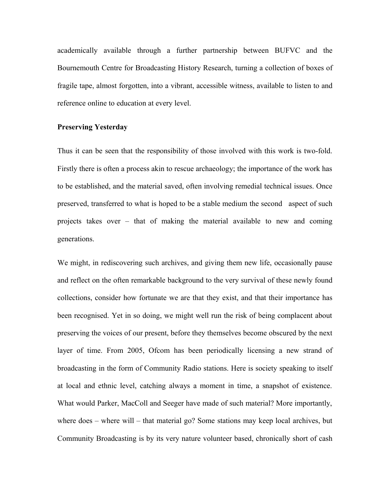academically available through a further partnership between BUFVC and the Bournemouth Centre for Broadcasting History Research, turning a collection of boxes of fragile tape, almost forgotten, into a vibrant, accessible witness, available to listen to and reference online to education at every level.

# **Preserving Yesterday**

Thus it can be seen that the responsibility of those involved with this work is two-fold. Firstly there is often a process akin to rescue archaeology; the importance of the work has to be established, and the material saved, often involving remedial technical issues. Once preserved, transferred to what is hoped to be a stable medium the second aspect of such projects takes over – that of making the material available to new and coming generations.

We might, in rediscovering such archives, and giving them new life, occasionally pause and reflect on the often remarkable background to the very survival of these newly found collections, consider how fortunate we are that they exist, and that their importance has been recognised. Yet in so doing, we might well run the risk of being complacent about preserving the voices of our present, before they themselves become obscured by the next layer of time. From 2005, Ofcom has been periodically licensing a new strand of broadcasting in the form of Community Radio stations. Here is society speaking to itself at local and ethnic level, catching always a moment in time, a snapshot of existence. What would Parker, MacColl and Seeger have made of such material? More importantly, where does – where will – that material go? Some stations may keep local archives, but Community Broadcasting is by its very nature volunteer based, chronically short of cash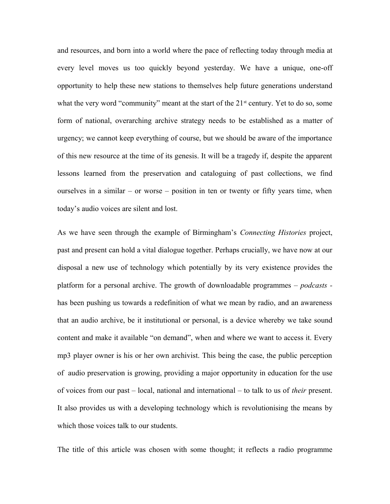and resources, and born into a world where the pace of reflecting today through media at every level moves us too quickly beyond yesterday. We have a unique, one-off opportunity to help these new stations to themselves help future generations understand what the very word "community" meant at the start of the 21<sup>st</sup> century. Yet to do so, some form of national, overarching archive strategy needs to be established as a matter of urgency; we cannot keep everything of course, but we should be aware of the importance of this new resource at the time of its genesis. It will be a tragedy if, despite the apparent lessons learned from the preservation and cataloguing of past collections, we find ourselves in a similar – or worse – position in ten or twenty or fifty years time, when today's audio voices are silent and lost.

As we have seen through the example of Birmingham's *Connecting Histories* project, past and present can hold a vital dialogue together. Perhaps crucially, we have now at our disposal a new use of technology which potentially by its very existence provides the platform for a personal archive. The growth of downloadable programmes – *podcasts*  has been pushing us towards a redefinition of what we mean by radio, and an awareness that an audio archive, be it institutional or personal, is a device whereby we take sound content and make it available "on demand", when and where we want to access it. Every mp3 player owner is his or her own archivist. This being the case, the public perception of audio preservation is growing, providing a major opportunity in education for the use of voices from our past – local, national and international – to talk to us of *their* present. It also provides us with a developing technology which is revolutionising the means by which those voices talk to our students.

The title of this article was chosen with some thought; it reflects a radio programme